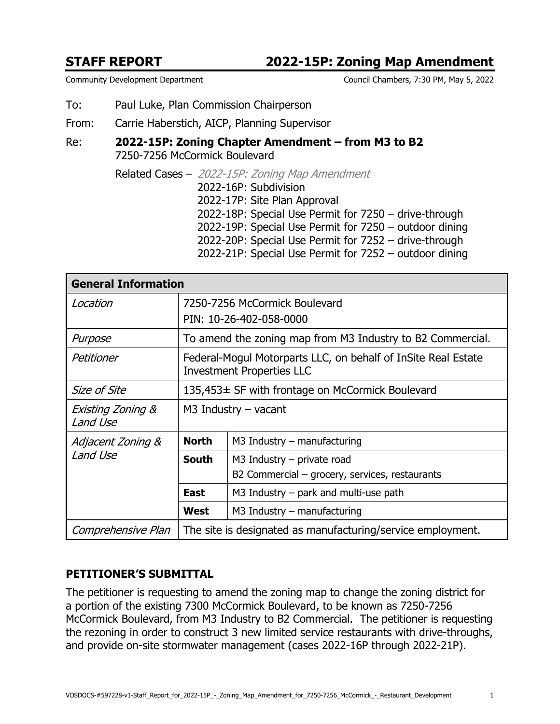## **STAFF REPORT 2022-15P: Zoning Map Amendment**

```
Community Development Department Council Chambers, 7:30 PM, May 5, 2022
```
- To: Paul Luke, Plan Commission Chairperson
- From: Carrie Haberstich, AICP, Planning Supervisor
- Re: **2022-15P: Zoning Chapter Amendment from M3 to B2** 7250-7256 McCormick Boulevard
	- Related Cases 2022-15P: Zoning Map Amendment 2022-16P: Subdivision 2022-17P: Site Plan Approval 2022-18P: Special Use Permit for 7250 – drive-through 2022-19P: Special Use Permit for 7250 – outdoor dining 2022-20P: Special Use Permit for 7252 – drive-through 2022-21P: Special Use Permit for 7252 – outdoor dining

| <b>General Information</b>    |                                                                                                   |                                                |  |
|-------------------------------|---------------------------------------------------------------------------------------------------|------------------------------------------------|--|
| Location                      | 7250-7256 McCormick Boulevard                                                                     |                                                |  |
|                               | PIN: 10-26-402-058-0000                                                                           |                                                |  |
| Purpose                       | To amend the zoning map from M3 Industry to B2 Commercial.                                        |                                                |  |
| Petitioner                    | Federal-Mogul Motorparts LLC, on behalf of InSite Real Estate<br><b>Investment Properties LLC</b> |                                                |  |
| Size of Site                  | 135,453± SF with frontage on McCormick Boulevard                                                  |                                                |  |
| Existing Zoning &<br>Land Use | $M3$ Industry – vacant                                                                            |                                                |  |
| Adjacent Zoning &<br>Land Use | <b>North</b>                                                                                      | $M3$ Industry – manufacturing                  |  |
|                               | <b>South</b>                                                                                      | $M3$ Industry – private road                   |  |
|                               |                                                                                                   | B2 Commercial – grocery, services, restaurants |  |
|                               | <b>East</b>                                                                                       | M3 Industry $-$ park and multi-use path        |  |
|                               | West                                                                                              | $M3$ Industry – manufacturing                  |  |
| Comprehensive Plan            | The site is designated as manufacturing/service employment.                                       |                                                |  |

#### **PETITIONER'S SUBMITTAL**

The petitioner is requesting to amend the zoning map to change the zoning district for a portion of the existing 7300 McCormick Boulevard, to be known as 7250-7256 McCormick Boulevard, from M3 Industry to B2 Commercial. The petitioner is requesting the rezoning in order to construct 3 new limited service restaurants with drive-throughs, and provide on-site stormwater management (cases 2022-16P through 2022-21P).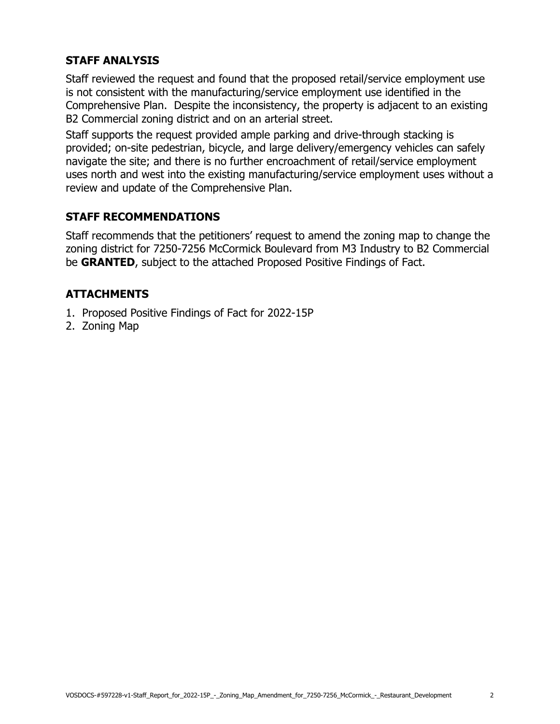## **STAFF ANALYSIS**

Staff reviewed the request and found that the proposed retail/service employment use is not consistent with the manufacturing/service employment use identified in the Comprehensive Plan. Despite the inconsistency, the property is adjacent to an existing B2 Commercial zoning district and on an arterial street.

Staff supports the request provided ample parking and drive-through stacking is provided; on-site pedestrian, bicycle, and large delivery/emergency vehicles can safely navigate the site; and there is no further encroachment of retail/service employment uses north and west into the existing manufacturing/service employment uses without a review and update of the Comprehensive Plan.

### **STAFF RECOMMENDATIONS**

Staff recommends that the petitioners' request to amend the zoning map to change the zoning district for 7250-7256 McCormick Boulevard from M3 Industry to B2 Commercial be **GRANTED**, subject to the attached Proposed Positive Findings of Fact.

### **ATTACHMENTS**

- 1. Proposed Positive Findings of Fact for 2022-15P
- 2. Zoning Map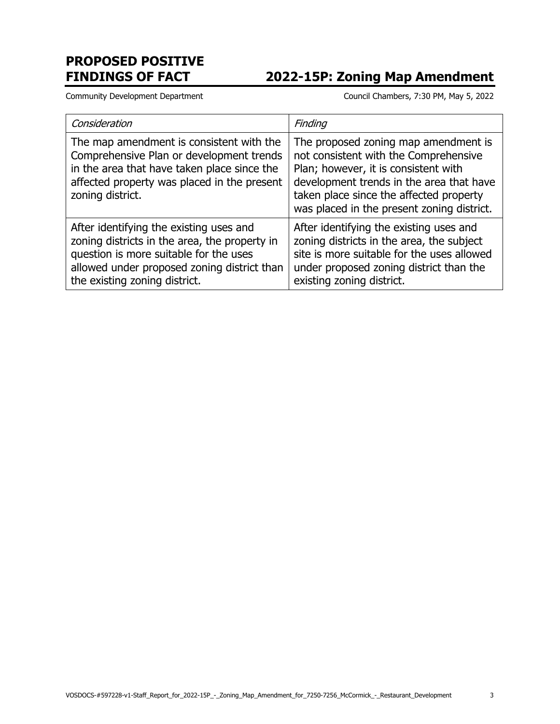# **PROPOSED POSITIVE**

# **FINDINGS OF FACT 2022-15P: Zoning Map Amendment**

Community Development Department Council Chambers, 7:30 PM, May 5, 2022

| Consideration                                                                                                                                                                                                      | Finding                                                                                                                                                                                                                                                    |
|--------------------------------------------------------------------------------------------------------------------------------------------------------------------------------------------------------------------|------------------------------------------------------------------------------------------------------------------------------------------------------------------------------------------------------------------------------------------------------------|
| The map amendment is consistent with the<br>Comprehensive Plan or development trends<br>in the area that have taken place since the<br>affected property was placed in the present<br>zoning district.             | The proposed zoning map amendment is<br>not consistent with the Comprehensive<br>Plan; however, it is consistent with<br>development trends in the area that have<br>taken place since the affected property<br>was placed in the present zoning district. |
| After identifying the existing uses and<br>zoning districts in the area, the property in<br>question is more suitable for the uses<br>allowed under proposed zoning district than<br>the existing zoning district. | After identifying the existing uses and<br>zoning districts in the area, the subject<br>site is more suitable for the uses allowed<br>under proposed zoning district than the<br>existing zoning district.                                                 |